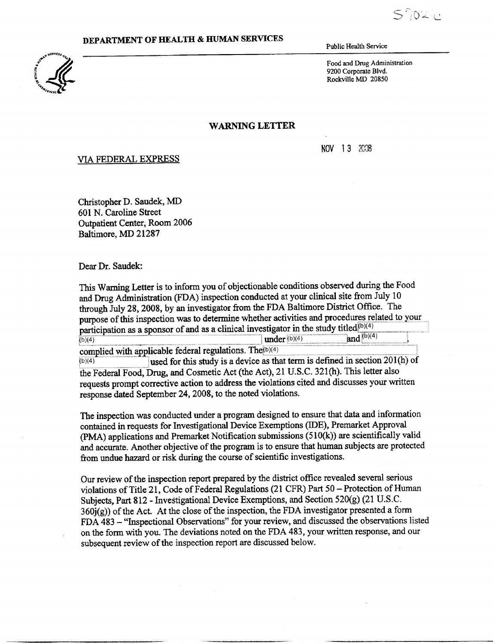$S$ 70210

#### DEPARTMENT OF HEALTH & HUMAN SERVICES



Public Health Service

Food and Drug Administration 9200 Corporate Blvd. Rockville MD 20850

#### **WARNING LETTER**

NOV **13 2008** 

#### VIA FEDERAL **EXPRESS**

Christopher D. Saudek, MD 601 N. Caroline Street Outpatient Center, Room 2006 Baltimore, MD 21287

Dear Dr. Saudek:

This Warning Letter is to inform you of objectionable conditions observed during the Food and Drug Administration (FDA) inspection conducted at your clinical site from July 10 through July 28, 2008, by an investigator from the FDA Baltimore District Office . The purpose of this inspection was to determine whether activities and procedures related to your participation as a sponsor of and as a clinical investigator in the study titled<sup>(b)(4)</sup> and  $(b)(4)$ 1-1-11111-- . . \_\_ - .\_ under ~b)(4) \_ . complied with applicable federal **regulations .** The~e>t4) -. . . used for this study is a device as that term is defined in section 201(h) of  $(b)(4)$ the Federal Food, Drug, and Cosmetic Act (the Act), 21 U .S.C . 321(h). This letter also requests prompt corrective action to address the violations cited and discusses your written response dated September 24, 2008, to the noted violations .

The inspection was conducted under a program designed to ensure that data and information contained in requests for Investigational Device Exemptions (IDE), Premarket Approval (PMA) applications and Premarket Notification submissions (510(k)) are scientifically valid and accurate. Another objective of the program is to ensure that human subjects are protected from undue hazard or risk during the course of scientific investigations .

Our review of the inspection report prepared by the district office revealed several serious violations of Title 21, Code of Federal Regulations (21 CFR) Part 50 - Protection of Human Subjects, Part 812 - Investigational Device Exemptions, and Section 520(g) (21 U.S.C.  $360j(g)$ ) of the Act. At the close of the inspection, the FDA investigator presented a form FDA 483 **-** "Inspectional Observations" for your review, and discussed the observations listed on the form with you. The deviations noted on the FDA 483, your written response, and our subsequent review of the inspection report are discussed below.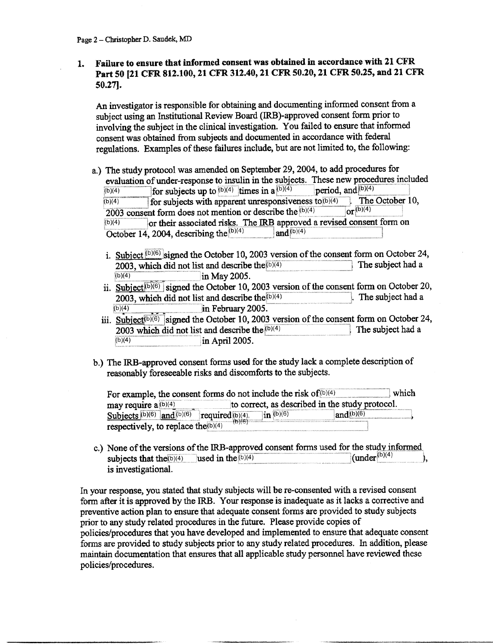## **<sup>1</sup> . Failure to ensure that informed consent was obtained in accordance** with 21 CFR **Part** 50 121 CFR 812 .100, 21 CFR 312.40, 21 CFR 50 .20, 21 CFR 50.25, and 21 CFR 50.271.

An investigator is responsible for obtaining and documenting informed consent from a subject using an Institutional Review Board (IRB)-approved consent form prior to involving the subject in the clinical investigation . You failed to ensure that informed consent was obtained from subjects and documented in accordance with federal regulations. Examples of these failures include, but are not limited to, the following :

- a.) The **study protocol was amended on September** 29, 2004, **to add procedures for evaluation of under-response to insulin in the subjects. These new procedures included**  $\frac{b(0)}{4}$  **for subjects up to**  $\frac{b(0)}{4}$  **times in a**  $\frac{b(0)(4)}{4}$  **period, and**  $\frac{b(0)(4)}{4}$ (b)(4)  $\overline{\text{for subjects up to }^{\text{(b)}(4)}$  limes in a<sup>{b)(4)</sup> period, and<sup>{b)(4)</sup>  $\overline{\text{the October 10}}$ , the subject in the clinical investigation. You failed to ensure that informed<br>msent was obtained from subjects and documented in accordance with federal<br>gulations. Examples of these failures include, but are not limited t 2003 consent form does not mention or describe the  $(b)(4)$  or  $\sqrt{b/(4)}$ msent was obtained from subjects and documented in accordance with federal<br>gulations. Examples of these failures include, but are not limited to, the following:<br>The study protocol was amended on September 29, 2004, to add (b)(4)  $\overline{\text{Or}}$  their associated risks. The IRB approved a revised consent form on  $\overline{\text{October 14, 2004, describing the}^{(b)(4)}}$  and  $\left| \text{Or}^{(b)(4)} \right|$ 
	- i. Subject  $^{(b)(6)}$  signed the October 10, 2003 version of the consent form on October 24, 2003, which did not list and describe the  $^{(b)(4)}$  The subject had a in May 2005 .  $(b)(4)$
	- ii. Subject<sup>(b)(6)</sup> signed the October 10, 2003 version of the consent form on October 20, 2003 which did not list and describe the<sup>(b)(4)</sup> [. The subject had a 2003, which did not list and describe the  $(b)(4)$ **in** February 2005 .  $(b)(4)$
	- iii. Subject<sup>(b)(6)</sup> signed the October 10, 2003 version of the consent form on October 24, 2003 which did not list and describe the  $\sqrt{p}$ <sup>(b)(4)</sup> The subject had a 2003 which did not list and describe the  $_{(b)(4)}^{(b)(4)}$ <br>in April 2005. ' :in April 2005 .
- b.) The **IRB-app**ro**ved consent forms used for the study lack a complete description of**  reasonably fore seeable risks and discomforts to the subjects.

| reasonably foreseeable risks and discomforts to the subjects.      |                                                              |                        |                                                 |       |
|--------------------------------------------------------------------|--------------------------------------------------------------|------------------------|-------------------------------------------------|-------|
| For example, the consent forms do not include the risk of $(b)(4)$ |                                                              |                        |                                                 | which |
| may require $a^{(b)(4)}$                                           |                                                              |                        | to correct, as described in the study protocol. |       |
| Subjects $(b)(6)$ and $(b)(6)$                                     | $\frac{1}{1-\frac{\sqrt{(1-\frac{1}{2})}}{(1-\frac{1}{2})}}$ | $\mathbf{in}^{(b)(6)}$ | and $(b)(6)$                                    |       |
| respectively, to replace the $(b)(4)$                              |                                                              |                        |                                                 |       |

**c.)** None of the versions of the IRB-approved consent forms used for the study informed subjects that the  $(b)(4)$  used in the  $(b)(4)$  (under  $\binom{b}{4}$ ) **is investigation**al **.** 

In your response, you stated that study subjects will be re-consented with a revised consent form after it is approved by the IRB. Your response is inadequate as it lacks a corrective and preventive action plan to ensure that adequate consent forms are provided to study subjects prior to any study related procedures in the future. Please provide copies of policies/procedures that you have developed and implemented to ensure that adequate consent forms are provided to study subjects prior to any study related procedures . In addition, please maintain documentation that ensures that all applicable study personnel have reviewed these policies/procedures .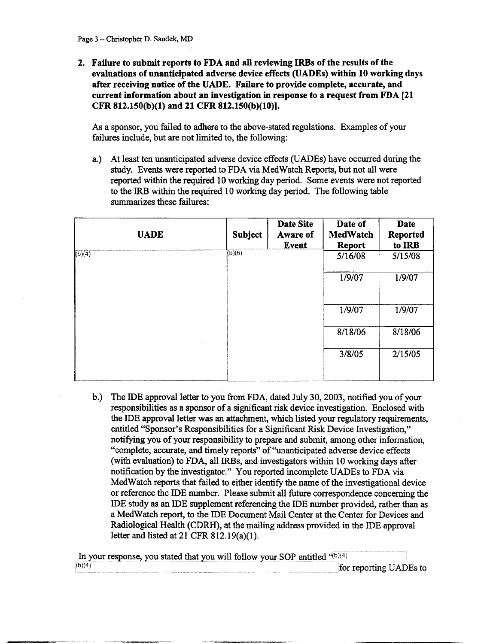2. Failure to submit reports to FDA and all reviewing IRBs of the results of the evaluations of unanticipated adverse device effects (UADEs) within 10 working days after receiving notice of the UADE. Failure to provide complete, accurate, and current information about an investigation in response to a request from FDA [21 CFR 812.150(b)(1) and 21 CFR 812.150(b)(10)] .

As a sponsor, you failed to adhere to the above-stated regulations . Examples of your failures include, but are not limited to, the following:

**a.)** At least ten unanticipated adverse device effects (UADEs) have occurred during the **study. Events were repo**rt**ed** to FDA **via MedWatch Repo**rt**s, but not all were**  reported within the required 10 working day period. Some events were not reported to the IRB within the required 10 working day period. The following table **summa**ri**zes these failures :** 

|        | <b>UADE</b> | <b>Subject</b> | Date Site<br>Aware of<br>Event | Date of<br>MedWatch<br>Report | Date<br>Reported<br>to IRB |
|--------|-------------|----------------|--------------------------------|-------------------------------|----------------------------|
| (b)(4) |             | (b)(6)         |                                | 5/16/08                       | 5/15/08                    |
|        |             |                |                                | 1/9/07                        | 1/9/07                     |
|        |             |                |                                | 1/9/07                        | 1/9/07                     |
|        |             |                |                                | 8/18/06                       | 8/18/06                    |
|        |             |                |                                | 3/8/05                        | 2/15/05                    |

b.) The IDE approval letter to you from FDA, dated July 30, 2003, notified you of your responsibilities as a sponsor of a significant risk device investigation . Enclosed with the IDE approval letter was an attachment, which listed your regulatory requirements, entitled "Sponsor's Responsibilities for a Significant Risk Device Investigation," notifying you of your responsibility to prepare and submit, among other information, "complete, accurate, and timely reports" of "unanticipated adverse device effects (with evaluation) to FDA, all IRBs, and investigators within 10 working days after notification by the investigator." You reported incomplete UADEs to FDA via MedWatch reports that failed to either identify the name of the investigational device or reference the IDE number. Please submit all future correspondence concerning the **ID** E study as an IDE supplement referencing the IDE number provided, rather than as a MedWatch report, to the IDE Document Mail Center at the Center for Devices and Radiological Health (CDRH), at the mailing address provided in the IDE approval letter and listed at 21 CFR 812.19(a)(1).

|        | In your response, you stated that you will follow your SOP entitled "(b)(4) |                        |
|--------|-----------------------------------------------------------------------------|------------------------|
| (b)(4) |                                                                             | for reporting UADEs to |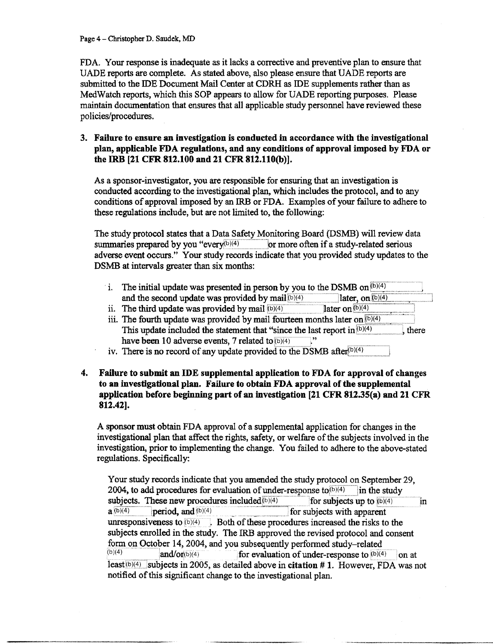**Page** 4- Christopher D. Saudek, MD

FDA. Your response is inadequate as it lacks a corrective and preventive plan to ensure that UADE reports are complete . As stated above, also please ensure that UADE reports are submitted to the **IDE** Document Mail Center at CDRH as IDE supplements rather than as MedWatch reports, which this SOP appears to allow for UADE reporting purposes . Please maintain documentation that ensures that all applicable study personnel have reviewed these policies/procedures.

## **3. Failure to ensure an investigation is conducted in accordance with the investigational plan, app**li**cable FDA regula**ti**ons, and any conditions of approval imposed by FDA or the IRB** [21 CFR **812.100 and** 21 CFR **812.110(b)].**

As a sponsor-investigator, you are responsible for ensuring that an investigation is conducted according to the investigational plan, which includes the protocol, and to any conditions of approval imposed by an IRB or FDA . Examples of your failure to adhere to these regulations include, but are not limited to, the following:

The study protocol states that a Data Safety Monitoring Board (DSMB) will review data summaries prepared by you "every $(b)(4)$  or more often if a study-related serious adverse event occurs ." Your study records indicate that you provided study updates to the DSMB at intervals greater than six months:

- i. The initial update was presented in person by you to the DSMB on  $\frac{b^{(b)(4)}}{a^{(b)(4)}}$  and the second update was provided by mail  $\frac{b^{(b)(4)}}{b^{(b)(4)}}$  later, on  $\frac{b^{(b)(4)}}{b^{(b)(4)}}$ and the second update was provided by mail  $(b)(4)$  1ater, on The third update was provided by mail  $(b)(4)$  1ater on  $(b)(4)$
- ii. The third update was provided by mail  $(b)(4)$
- iii. The fourth update was provided by mail fourteen months later on  $(b)(4)$ This update included the statement that "since the last report in  $(b)(4)$ , there have been 10 adverse events, 7 related to  $(b)(4)$
- $\bf{iv}$ . There is no record of any update provided to the DSMB after<sup>(b)(4)</sup>
- 4. Failure to submit an IDE supplemental application to FDA for approval of changes to an investigational plan. Failure to obtain FDA approval of the supplemental application before beginning part of an investigation [21 CFR 812 .35(a) and 21 CFR 812.42].

A sponsor must obtain FDA approval of a supplemental application for changes in the investigational plan that affect the rights, safety, or welfare of the subjects involved in the investigation, prior to implementing the change . You failed to adhere to the above-stated regulations. Specifically:

Your study records indicate that you amended the study protocol on September 29, 2004, to add procedures for evaluation of under-response to  $(b)(4)$  in the study subjects. These new procedures included  $(b)(4)$  for subjects up to  $(b)(4)$  in  $a^{(b)(4)}$  period, and  $(b)(4)$  for subjects with apparent for subjects with apparent unresponsiveness to  $(b)(4)$ ~u)(4) . Both of these procedures increased the risks to the subjects enrolled in the study. The IRB approved the revised protocol and consent form on October 14, 2004, and you subsequently performed study-related<br> $\frac{\log(4)}{2}$ and/or(b)(4) for evaluation of under-response to  $(b)(4)$  on at least $(b)(4)$  subjects in 2005, as detailed above in citation # 1. However, FDA was not notified of this significant change to the investigational plan.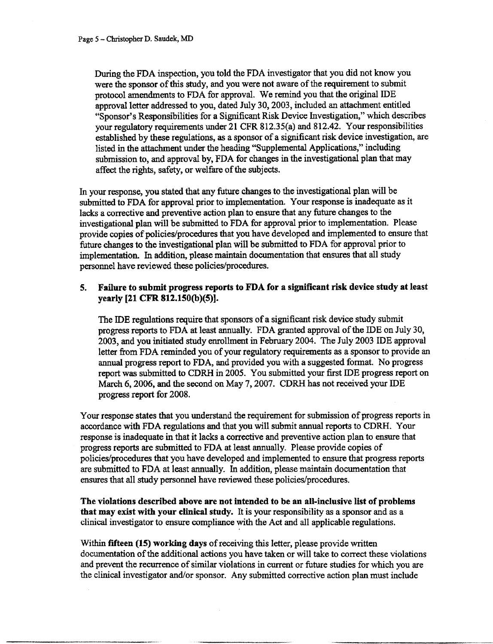During the FDA inspection, you told the FDA investigator that you did not know you were the sponsor of this study, and you were not aware of the requirement to submit protocol amendments to FDA for approval. We remind you that the original IDE approval letter addressed to you, dated July 30, 2003, included an attachment entitled "Sponsor's Responsibilities for a Significant Risk Device Investigation," which describes your regulatory requirements under 21 CFR 812.35(a) and 812 .42. Your responsibilities established by these regulations, as a sponsor of a significant risk device investigation, are listed in the attachment under the heading "Supplemental Applications," including submission to, and approval by, FDA for changes in the investigational plan that may affect the rights, safety, or welfare of the subjects .

In your response, you stated that any future changes to the investigational plan will be submitted to FDA for approval prior to implementation . Your response is inadequate as it lacks a corrective and preventive action plan to ensure that any future changes to the investigational plan will be submitted to FDA for approval prior to implementation. Please provide copies of policies/procedures that you have developed and implemented to ensure that future changes to the investigational plan will be submitted to FDA for approval prior to implementation. In addition, please maintain documentation that ensures that all study personnel have reviewed these policies/procedures .

### **5. Failure to submit p**ro**gress reports** to FDA for **a significant** risk device study at least yearly [21 CFR 812.150(b)(5)].

The **ID**E regulations require that sponsors of a significant risk device study submit progress reports to FDA at least annually. FDA granted approval of the IDE on July 30, 2003, and you initiated study enrollment in February 2004. The July 2003 IDE approval letter from FDA reminded you of your regulatory requirements as a sponsor to provide an annual progress report to FDA, and provided you with a suggested format. No progress report was submitted to CDRH in 2005 . You submitted your first IDE progress report on March 6, 2006, and the second on May 7, 2007. CDRH has not received your **ID**E progress report for 2008 .

Your response states that you understand the requirement for submission of progress reports in accordance with FDA regulations and that you will submit annual reports to CDRH . Your response is inadequate in that it lacks a corrective and preventive action plan to ensure that progress reports are submitted to FDA at least annually . Please provide copies of policies/procedures that you have developed and implemented to ensure that progress reports are submitted to FDA at least annually. In addition, please maintain documentation that ensures that all study personnel have reviewed these policies/procedures.

The violations **described above are not intended to be an all-inclusive** li**st of problems**  that may **exist** with **your clinical study .** It is your responsibility as a sponsor and as a clinical investigator to ensure compliance with the Act and all applicable regulations .

Within **fifteen** (**15) working** days of receiving this letter, please provide written documentation of the additional actions you have taken or will take to correct these violations and prevent the recurrence of similar violations in current or future studies for which you are the clinical investigator and/or sponsor. Any submitted corrective action plan must include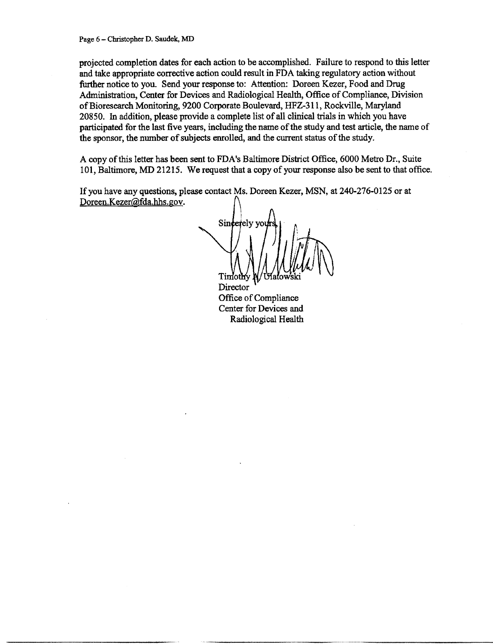projected completion dates for each action to be accomplished. Failure to respond to this letter and take appropriate corrective action could result in FDA taking regulatory action without further notice to you. Send your response to: Attention: Doreen Kezer, Food and Drug Administration, Center for Devices and Radiological Health, Office of Compliance, Division of Bioresearch Monitoring, 9200 Corporate Boulevard, HFZ-311, Rockville, Marylan d 20850. In addition, please provide a complete list of all clinical trials in which you have participated for the last five years, including the name of the study and test article, the name of the sponsor, the number of subjects enrolled, and the current status of the study .

A copy of this letter **h** as **been sent** to FDA's **Baltimore** District Office, 6000 Metro Dr., Suite 101, **Baltimore,** MD 21215. We request that a copy of your **response** also be **sent** to that office .

If you have any **questions, please contact** Ms. Doreen **Kezer,** MSN, at 240-276-0125 or at Doreen.Kezer@fda.hhs.gov.

Sincertely yo  $T$ imothy

**Director** Office of Compliance Center for Devices and **Radiological Health**